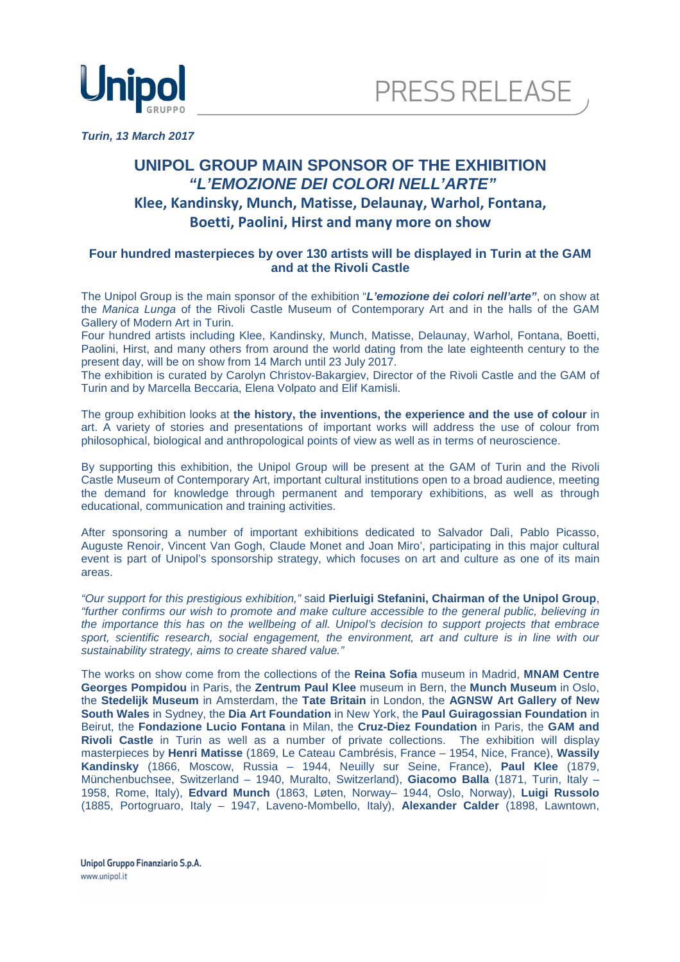



**Turin, 13 March 2017** 

## **UNIPOL GROUP MAIN SPONSOR OF THE EXHIBITION "L'EMOZIONE DEI COLORI NELL'ARTE" Klee, Kandinsky, Munch, Matisse, Delaunay, Warhol, Fontana, Boetti, Paolini, Hirst and many more on show**

## **Four hundred masterpieces by over 130 artists will be displayed in Turin at the GAM and at the Rivoli Castle**

The Unipol Group is the main sponsor of the exhibition "**L'emozione dei colori nell'arte"**, on show at the Manica Lunga of the Rivoli Castle Museum of Contemporary Art and in the halls of the GAM Gallery of Modern Art in Turin.

Four hundred artists including Klee, Kandinsky, Munch, Matisse, Delaunay, Warhol, Fontana, Boetti, Paolini, Hirst, and many others from around the world dating from the late eighteenth century to the present day, will be on show from 14 March until 23 July 2017.

The exhibition is curated by Carolyn Christov-Bakargiev, Director of the Rivoli Castle and the GAM of Turin and by Marcella Beccaria, Elena Volpato and Elif Kamisli.

The group exhibition looks at **the history, the inventions, the experience and the use of colour** in art. A variety of stories and presentations of important works will address the use of colour from philosophical, biological and anthropological points of view as well as in terms of neuroscience.

By supporting this exhibition, the Unipol Group will be present at the GAM of Turin and the Rivoli Castle Museum of Contemporary Art, important cultural institutions open to a broad audience, meeting the demand for knowledge through permanent and temporary exhibitions, as well as through educational, communication and training activities.

After sponsoring a number of important exhibitions dedicated to Salvador Dalì, Pablo Picasso, Auguste Renoir, Vincent Van Gogh, Claude Monet and Joan Miro', participating in this major cultural event is part of Unipol's sponsorship strategy, which focuses on art and culture as one of its main areas.

"Our support for this prestigious exhibition," said **Pierluigi Stefanini, Chairman of the Unipol Group**, "further confirms our wish to promote and make culture accessible to the general public, believing in the importance this has on the wellbeing of all. Unipol's decision to support projects that embrace sport, scientific research, social engagement, the environment, art and culture is in line with our sustainability strategy, aims to create shared value."

The works on show come from the collections of the **Reina Sofia** museum in Madrid, **MNAM Centre Georges Pompidou** in Paris, the **Zentrum Paul Klee** museum in Bern, the **Munch Museum** in Oslo, the **Stedelijk Museum** in Amsterdam, the **Tate Britain** in London, the **AGNSW Art Gallery of New South Wales** in Sydney, the **Dia Art Foundation** in New York, the **Paul Guiragossian Foundation** in Beirut, the **Fondazione Lucio Fontana** in Milan, the **Cruz-Diez Foundation** in Paris, the **GAM and Rivoli Castle** in Turin as well as a number of private collections. The exhibition will display masterpieces by **Henri Matisse** (1869, Le Cateau Cambrésis, France – 1954, Nice, France), **Wassily Kandinsky** (1866, Moscow, Russia – 1944, Neuilly sur Seine, France), **Paul Klee** (1879, Münchenbuchsee, Switzerland – 1940, Muralto, Switzerland), **Giacomo Balla** (1871, Turin, Italy – 1958, Rome, Italy), **Edvard Munch** (1863, Løten, Norway– 1944, Oslo, Norway), **Luigi Russolo** (1885, Portogruaro, Italy – 1947, Laveno-Mombello, Italy), **Alexander Calder** (1898, Lawntown,